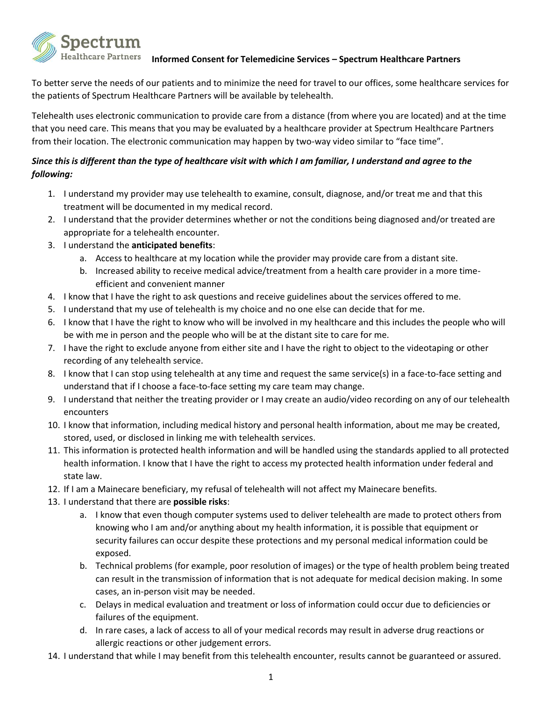

## **Informed Consent for Telemedicine Services – Spectrum Healthcare Partners**

To better serve the needs of our patients and to minimize the need for travel to our offices, some healthcare services for the patients of Spectrum Healthcare Partners will be available by telehealth.

Telehealth uses electronic communication to provide care from a distance (from where you are located) and at the time that you need care. This means that you may be evaluated by a healthcare provider at Spectrum Healthcare Partners from their location. The electronic communication may happen by two-way video similar to "face time".

## *Since this is different than the type of healthcare visit with which I am familiar, I understand and agree to the following:*

- 1. I understand my provider may use telehealth to examine, consult, diagnose, and/or treat me and that this treatment will be documented in my medical record.
- 2. I understand that the provider determines whether or not the conditions being diagnosed and/or treated are appropriate for a telehealth encounter.
- 3. I understand the **anticipated benefits**:
	- a. Access to healthcare at my location while the provider may provide care from a distant site.
	- b. Increased ability to receive medical advice/treatment from a health care provider in a more timeefficient and convenient manner
- 4. I know that I have the right to ask questions and receive guidelines about the services offered to me.
- 5. I understand that my use of telehealth is my choice and no one else can decide that for me.
- 6. I know that I have the right to know who will be involved in my healthcare and this includes the people who will be with me in person and the people who will be at the distant site to care for me.
- 7. I have the right to exclude anyone from either site and I have the right to object to the videotaping or other recording of any telehealth service.
- 8. I know that I can stop using telehealth at any time and request the same service(s) in a face-to-face setting and understand that if I choose a face-to-face setting my care team may change.
- 9. I understand that neither the treating provider or I may create an audio/video recording on any of our telehealth encounters
- 10. I know that information, including medical history and personal health information, about me may be created, stored, used, or disclosed in linking me with telehealth services.
- 11. This information is protected health information and will be handled using the standards applied to all protected health information. I know that I have the right to access my protected health information under federal and state law.
- 12. If I am a Mainecare beneficiary, my refusal of telehealth will not affect my Mainecare benefits.
- 13. I understand that there are **possible risks**:
	- a. I know that even though computer systems used to deliver telehealth are made to protect others from knowing who I am and/or anything about my health information, it is possible that equipment or security failures can occur despite these protections and my personal medical information could be exposed.
	- b. Technical problems (for example, poor resolution of images) or the type of health problem being treated can result in the transmission of information that is not adequate for medical decision making. In some cases, an in-person visit may be needed.
	- c. Delays in medical evaluation and treatment or loss of information could occur due to deficiencies or failures of the equipment.
	- d. In rare cases, a lack of access to all of your medical records may result in adverse drug reactions or allergic reactions or other judgement errors.
- 14. I understand that while I may benefit from this telehealth encounter, results cannot be guaranteed or assured.